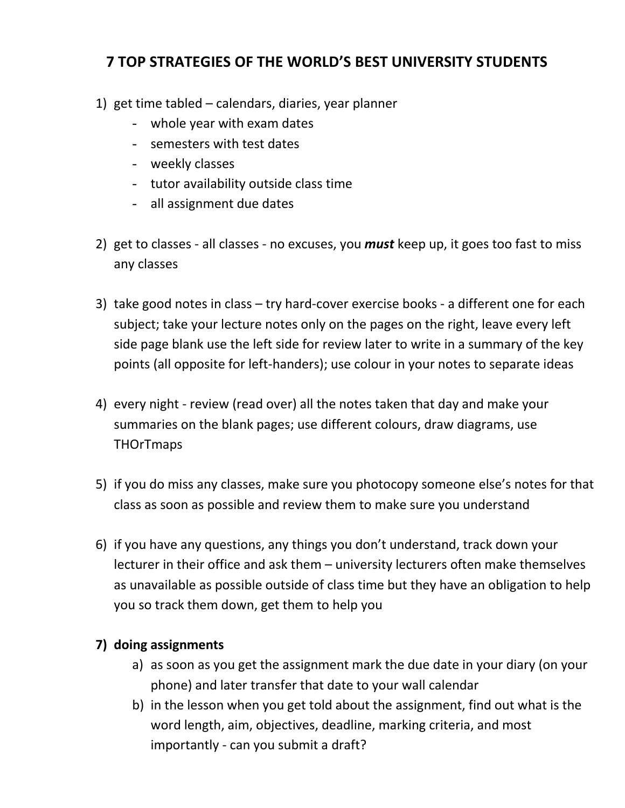## **7 TOP STRATEGIES OF THE WORLD'S BEST UNIVERSITY STUDENTS**

- 1) get time tabled calendars, diaries, year planner
	- whole year with exam dates
	- semesters with test dates
	- weekly classes
	- tutor availability outside class time
	- all assignment due dates
- 2) get to classes all classes no excuses, you *must* keep up, it goes too fast to miss any classes
- 3) take good notes in class try hard-cover exercise books a different one for each subject; take your lecture notes only on the pages on the right, leave every left side page blank use the left side for review later to write in a summary of the key points (all opposite for left-handers); use colour in your notes to separate ideas
- 4) every night review (read over) all the notes taken that day and make your summaries on the blank pages; use different colours, draw diagrams, use **THOrTmaps**
- 5) if you do miss any classes, make sure you photocopy someone else's notes for that class as soon as possible and review them to make sure you understand
- 6) if you have any questions, any things you don't understand, track down your lecturer in their office and ask them – university lecturers often make themselves as unavailable as possible outside of class time but they have an obligation to help you so track them down, get them to help you

## **7) doing assignments**

- a) as soon as you get the assignment mark the due date in your diary (on your phone) and later transfer that date to your wall calendar
- b) in the lesson when you get told about the assignment, find out what is the word length, aim, objectives, deadline, marking criteria, and most importantly - can you submit a draft?